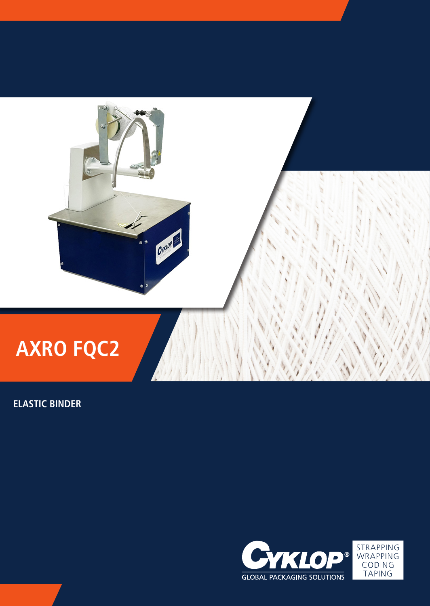

# **AXRO FQC2**

**ELASTIC BINDER**